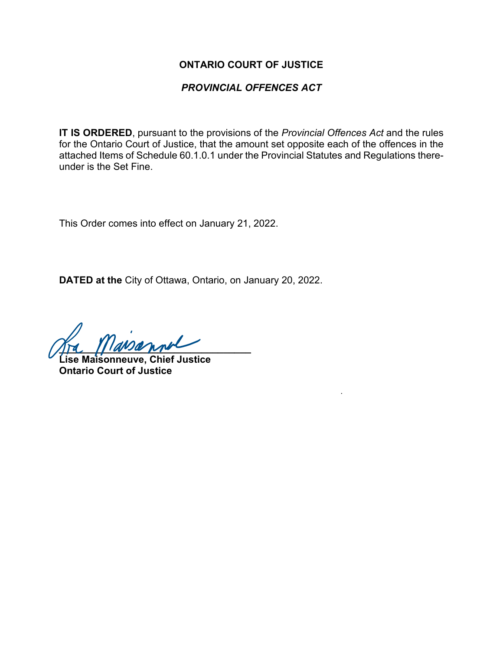#### **ONTARIO COURT OF JUSTICE**

#### *PROVINCIAL OFFENCES ACT*

**IT IS ORDERED**, pursuant to the provisions of the *Provincial Offences Act* and the rules for the Ontario Court of Justice, that the amount set opposite each of the offences in the attached Items of Schedule 60.1.0.1 under the Provincial Statutes and Regulations thereunder is the Set Fine.

This Order comes into effect on January 21, 2022.

**DATED at the** City of Ottawa, Ontario, on January 20, 2022.

 $\eta_{\text{F}}$   $\eta_{\text{F}}$   $\eta_{\text{F}}$ 

**Lise Maisonneuve, Chief Justice Ontario Court of Justice**